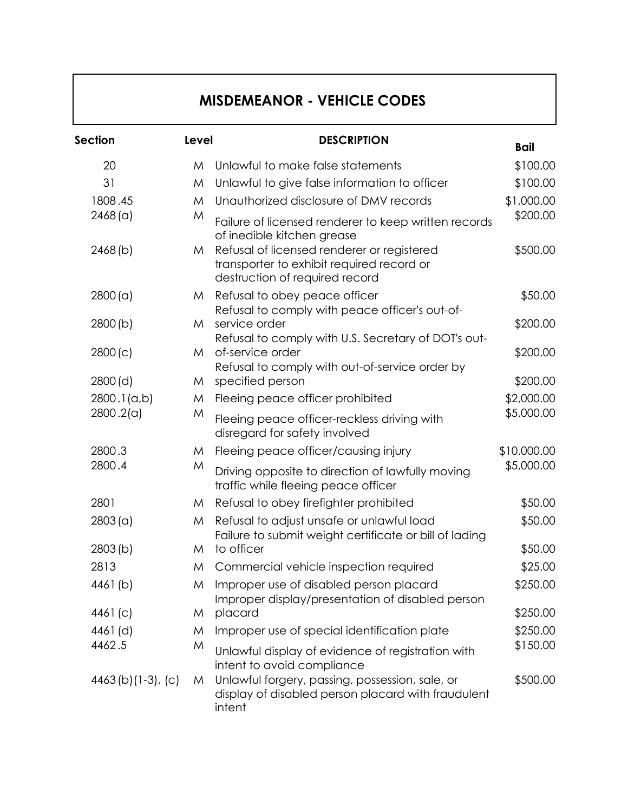## **MISDEMEANOR - VEHICLE CODES**

| Section             | Level | <b>DESCRIPTION</b>                                                                                                        | <b>Bail</b> |
|---------------------|-------|---------------------------------------------------------------------------------------------------------------------------|-------------|
| 20                  | M     | Unlawful to make false statements                                                                                         | \$100.00    |
| 31                  | M     | Unlawful to give false information to officer                                                                             | \$100.00    |
| 1808.45             | M     | Unauthorized disclosure of DMV records                                                                                    | \$1,000.00  |
| 2468 (a)            | M     | Failure of licensed renderer to keep written records<br>of inedible kitchen grease                                        | \$200.00    |
| 2468(b)             | M     | Refusal of licensed renderer or registered<br>transporter to exhibit required record or<br>destruction of required record | \$500.00    |
| 2800 (a)            | M     | Refusal to obey peace officer<br>Refusal to comply with peace officer's out-of-                                           | \$50.00     |
| 2800(b)             | M     | service order<br>Refusal to comply with U.S. Secretary of DOT's out-                                                      | \$200.00    |
| 2800(c)             | M     | of-service order<br>Refusal to comply with out-of-service order by                                                        | \$200.00    |
| 2800(d)             | M     | specified person                                                                                                          | \$200.00    |
| 2800.1(a,b)         | M     | Fleeing peace officer prohibited                                                                                          | \$2,000.00  |
| 2800.2(a)           | M     | Fleeing peace officer-reckless driving with<br>disregard for safety involved                                              | \$5,000.00  |
| 2800.3              | M     | Fleeing peace officer/causing injury                                                                                      | \$10,000.00 |
| 2800.4              | M     | Driving opposite to direction of lawfully moving<br>traffic while fleeing peace officer                                   | \$5,000.00  |
| 2801                | M     | Refusal to obey firefighter prohibited                                                                                    | \$50.00     |
| 2803 (a)            | M     | Refusal to adjust unsafe or unlawful load<br>Failure to submit weight certificate or bill of lading                       | \$50.00     |
| 2803(b)             | M     | to officer                                                                                                                | \$50.00     |
| 2813                | M     | Commercial vehicle inspection required                                                                                    | \$25.00     |
| 4461(b)             | M     | Improper use of disabled person placard<br>Improper display/presentation of disabled person                               | \$250.00    |
| 4461(c)             | M     | placard                                                                                                                   | \$250.00    |
| 4461(d)             | M     | Improper use of special identification plate                                                                              | \$250.00    |
| 4462.5              | M     | Unlawful display of evidence of registration with<br>intent to avoid compliance                                           | \$150.00    |
| $4463(b)(1-3), (c)$ | M     | Unlawful forgery, passing, possession, sale, or<br>display of disabled person placard with fraudulent<br>intent           | \$500.00    |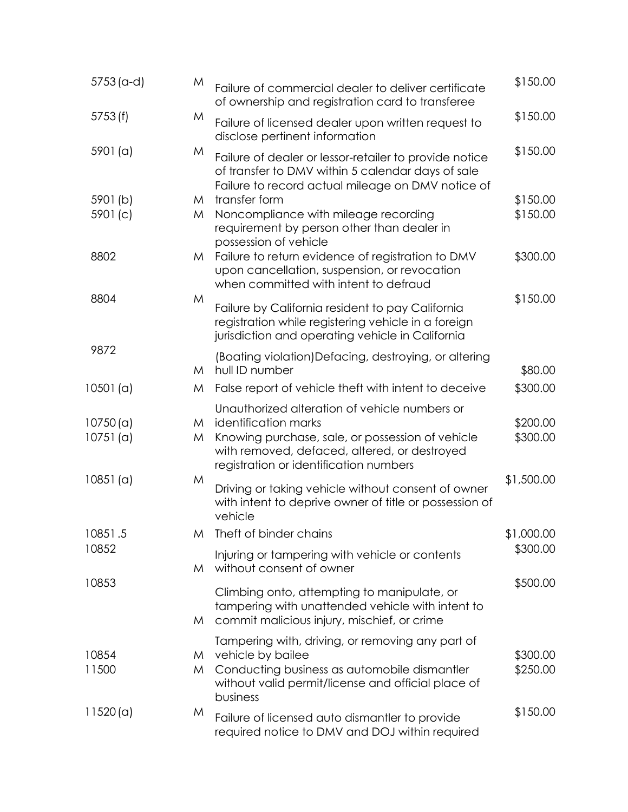| $5753$ (a-d)         | M      | Failure of commercial dealer to deliver certificate<br>of ownership and registration card to transferee                                                                                                             | \$150.00             |
|----------------------|--------|---------------------------------------------------------------------------------------------------------------------------------------------------------------------------------------------------------------------|----------------------|
| 5753(f)              | M      | Failure of licensed dealer upon written request to<br>disclose pertinent information                                                                                                                                | \$150.00             |
| 5901 (a)             | M      | Failure of dealer or lessor-retailer to provide notice<br>of transfer to DMV within 5 calendar days of sale<br>Failure to record actual mileage on DMV notice of                                                    | \$150.00             |
| 5901(b)              | M      | transfer form                                                                                                                                                                                                       | \$150.00             |
| 5901(c)              | M      | Noncompliance with mileage recording<br>requirement by person other than dealer in<br>possession of vehicle                                                                                                         | \$150.00             |
| 8802                 | M      | Failure to return evidence of registration to DMV<br>upon cancellation, suspension, or revocation<br>when committed with intent to defraud                                                                          | \$300.00             |
| 8804                 | M      | Failure by California resident to pay California<br>registration while registering vehicle in a foreign<br>jurisdiction and operating vehicle in California                                                         | \$150.00             |
| 9872                 | M      | (Boating violation)Defacing, destroying, or altering<br>hull ID number                                                                                                                                              | \$80.00              |
| 10501(a)             | M      | False report of vehicle theft with intent to deceive                                                                                                                                                                | \$300.00             |
| 10750(a)<br>10751(a) | M<br>M | Unauthorized alteration of vehicle numbers or<br>identification marks<br>Knowing purchase, sale, or possession of vehicle<br>with removed, defaced, altered, or destroyed<br>registration or identification numbers | \$200.00<br>\$300.00 |
| 10851(a)             | M      | Driving or taking vehicle without consent of owner<br>with intent to deprive owner of title or possession of<br>vehicle                                                                                             | \$1,500.00           |
| 10851.5              |        | M Theft of binder chains                                                                                                                                                                                            | \$1,000.00           |
| 10852                | M      | Injuring or tampering with vehicle or contents<br>without consent of owner                                                                                                                                          | \$300.00             |
| 10853                | M      | Climbing onto, attempting to manipulate, or<br>tampering with unattended vehicle with intent to<br>commit malicious injury, mischief, or crime                                                                      | \$500.00             |
| 10854<br>11500       | M<br>M | Tampering with, driving, or removing any part of<br>vehicle by bailee<br>Conducting business as automobile dismantler<br>without valid permit/license and official place of<br>business                             | \$300.00<br>\$250.00 |
| 11520(a)             | M      | Failure of licensed auto dismantler to provide<br>required notice to DMV and DOJ within required                                                                                                                    | \$150.00             |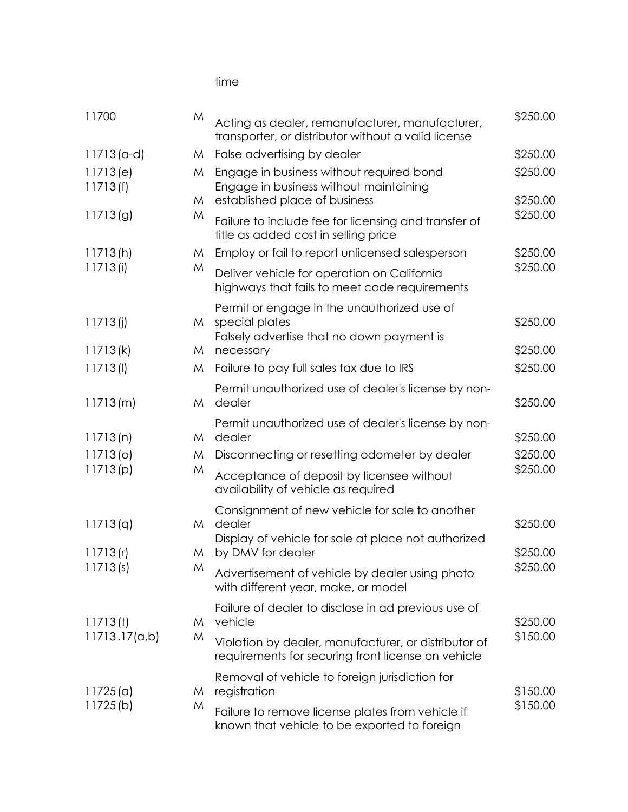time

| 11700                | M | Acting as dealer, remanufacturer, manufacturer,<br>transporter, or distributor without a valid license     | \$250.00 |
|----------------------|---|------------------------------------------------------------------------------------------------------------|----------|
| $11713$ (a-d)        | M | False advertising by dealer                                                                                | \$250.00 |
| 11713(e)<br>11713(f) | M | Engage in business without required bond<br>Engage in business without maintaining                         | \$250.00 |
|                      | M | established place of business                                                                              | \$250.00 |
| 11713(g)             | M | Failure to include fee for licensing and transfer of<br>title as added cost in selling price               | \$250.00 |
| 11713(h)             | M | Employ or fail to report unlicensed salesperson                                                            | \$250.00 |
| 11713(i)             | M | Deliver vehicle for operation on California<br>highways that fails to meet code requirements               | \$250.00 |
| 11713(j)             | M | Permit or engage in the unauthorized use of<br>special plates                                              | \$250.00 |
| 11713(k)             | M | Falsely advertise that no down payment is<br>necessary                                                     | \$250.00 |
| 11713(l)             | M | Failure to pay full sales tax due to IRS                                                                   | \$250.00 |
|                      |   | Permit unauthorized use of dealer's license by non-                                                        |          |
| 11713(m)             | M | dealer                                                                                                     | \$250.00 |
| 11713(n)             | M | Permit unauthorized use of dealer's license by non-<br>dealer                                              | \$250.00 |
| 11713 <sub>(o)</sub> | M | Disconnecting or resetting odometer by dealer                                                              | \$250.00 |
| 11713(p)             | M | Acceptance of deposit by licensee without<br>availability of vehicle as required                           | \$250.00 |
|                      |   | Consignment of new vehicle for sale to another                                                             |          |
| 11713(q)             | M | dealer<br>Display of vehicle for sale at place not authorized                                              | \$250.00 |
| 11713(r)             | M | by DMV for dealer                                                                                          | \$250.00 |
| 11713(s)             | M | Advertisement of vehicle by dealer using photo<br>with different year, make, or model                      | \$250.00 |
| 11713(t)             | M | Failure of dealer to disclose in ad previous use of<br>vehicle                                             | \$250.00 |
| 11713.17(a,b)        | M | Violation by dealer, manufacturer, or distributor of<br>requirements for securing front license on vehicle | \$150.00 |
| 11725(a)             | M | Removal of vehicle to foreign jurisdiction for<br>registration                                             | \$150.00 |
| 11725(b)             | M | Failure to remove license plates from vehicle if<br>known that vehicle to be exported to foreign           | \$150.00 |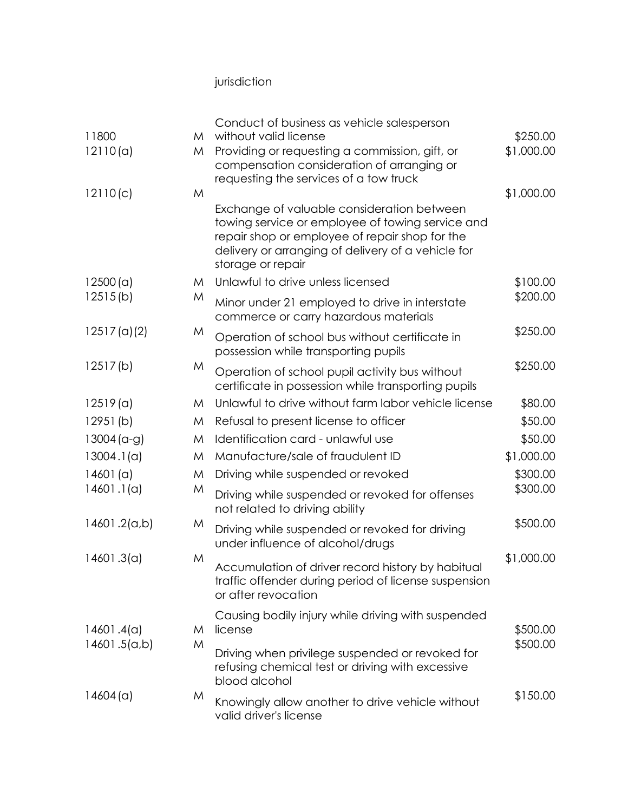## jurisdiction

|                         |   | Conduct of business as vehicle salesperson                                                                                                                                                                                  |            |
|-------------------------|---|-----------------------------------------------------------------------------------------------------------------------------------------------------------------------------------------------------------------------------|------------|
| 11800                   | M | without valid license                                                                                                                                                                                                       | \$250.00   |
| 12110(a)                | M | Providing or requesting a commission, gift, or<br>compensation consideration of arranging or                                                                                                                                | \$1,000.00 |
| 12110(c)                | M | requesting the services of a tow truck                                                                                                                                                                                      | \$1,000.00 |
|                         |   | Exchange of valuable consideration between<br>towing service or employee of towing service and<br>repair shop or employee of repair shop for the<br>delivery or arranging of delivery of a vehicle for<br>storage or repair |            |
| 12500(a)                | M | Unlawful to drive unless licensed                                                                                                                                                                                           | \$100.00   |
| 12515(b)                | M | Minor under 21 employed to drive in interstate<br>commerce or carry hazardous materials                                                                                                                                     | \$200.00   |
| 12517 <sub>(a)(2)</sub> | M | Operation of school bus without certificate in<br>possession while transporting pupils                                                                                                                                      | \$250.00   |
| 12517(b)                | M | Operation of school pupil activity bus without<br>certificate in possession while transporting pupils                                                                                                                       | \$250.00   |
| 12519(a)                | M | Unlawful to drive without farm labor vehicle license                                                                                                                                                                        | \$80.00    |
| 12951(b)                | M | Refusal to present license to officer                                                                                                                                                                                       | \$50.00    |
| $13004$ (a-g)           | M | Identification card - unlawful use                                                                                                                                                                                          | \$50.00    |
| 13004.1(a)              | M | Manufacture/sale of fraudulent ID                                                                                                                                                                                           | \$1,000.00 |
| 14601(a)                | M | Driving while suspended or revoked                                                                                                                                                                                          | \$300.00   |
| 14601.1(a)              | M | Driving while suspended or revoked for offenses<br>not related to driving ability                                                                                                                                           | \$300.00   |
| (d,b). 14601.           | M | Driving while suspended or revoked for driving<br>under influence of alcohol/drugs                                                                                                                                          | \$500.00   |
| 14601.3(a)              | M | Accumulation of driver record history by habitual<br>traffic offender during period of license suspension<br>or after revocation                                                                                            | \$1,000.00 |
| 14601.4(a)              | M | Causing bodily injury while driving with suspended<br>license                                                                                                                                                               | \$500.00   |
| 14601.5(a,b)            | M | Driving when privilege suspended or revoked for<br>refusing chemical test or driving with excessive<br>blood alcohol                                                                                                        | \$500.00   |
| 14604 (a)               | M | Knowingly allow another to drive vehicle without<br>valid driver's license                                                                                                                                                  | \$150.00   |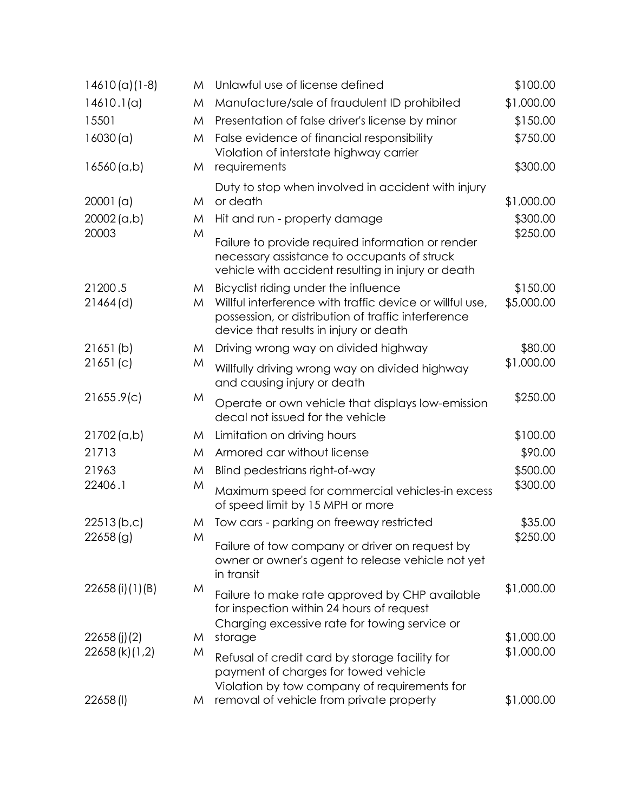| $14610(a)(1-8)$     | M      | Unlawful use of license defined                                                                                                                           | \$100.00             |
|---------------------|--------|-----------------------------------------------------------------------------------------------------------------------------------------------------------|----------------------|
| 14610.1(a)          | M      | Manufacture/sale of fraudulent ID prohibited                                                                                                              | \$1,000.00           |
| 15501               | M      | Presentation of false driver's license by minor                                                                                                           | \$150.00             |
| 16030(a)            | M      | False evidence of financial responsibility<br>Violation of interstate highway carrier                                                                     | \$750.00             |
| 16560(a,b)          | M      | requirements                                                                                                                                              | \$300.00             |
| 20001(a)            | M      | Duty to stop when involved in accident with injury<br>or death                                                                                            | \$1,000.00           |
| 20002(a,b)<br>20003 | M<br>M | Hit and run - property damage                                                                                                                             | \$300.00<br>\$250.00 |
|                     |        | Failure to provide required information or render<br>necessary assistance to occupants of struck<br>vehicle with accident resulting in injury or death    |                      |
| 21200.5             | M      | Bicyclist riding under the influence                                                                                                                      | \$150.00             |
| $21464$ (d)         | M      | Willful interference with traffic device or willful use,<br>possession, or distribution of traffic interference<br>device that results in injury or death | \$5,000.00           |
| 21651(b)            | M      | Driving wrong way on divided highway                                                                                                                      | \$80.00              |
| 21651(c)            | M      | Willfully driving wrong way on divided highway<br>and causing injury or death                                                                             | \$1,000.00           |
| 21655.9(c)          | M      | Operate or own vehicle that displays low-emission<br>decal not issued for the vehicle                                                                     | \$250.00             |
| $21702$ (a,b)       | M      | Limitation on driving hours                                                                                                                               | \$100.00             |
| 21713               | M      | Armored car without license                                                                                                                               | \$90.00              |
| 21963               | M      | Blind pedestrians right-of-way                                                                                                                            | \$500.00             |
| 22406.1             | M      | Maximum speed for commercial vehicles-in excess<br>of speed limit by 15 MPH or more                                                                       | \$300.00             |
| 22513(b,c)          | M      | Tow cars - parking on freeway restricted                                                                                                                  | \$35.00              |
| 22658(g)            | M      | Failure of tow company or driver on request by<br>owner or owner's agent to release vehicle not yet<br>in transit                                         | \$250.00             |
| 22658 (i) (1) (B)   | M      | Failure to make rate approved by CHP available<br>for inspection within 24 hours of request<br>Charging excessive rate for towing service or              | \$1,000.00           |
| 22658(j)(2)         | M      | storage                                                                                                                                                   | \$1,000.00           |
| 22658 (k) (1,2)     | M      | Refusal of credit card by storage facility for<br>payment of charges for towed vehicle                                                                    | \$1,000.00           |
| 22658(I)            | M      | Violation by tow company of requirements for<br>removal of vehicle from private property                                                                  | \$1,000.00           |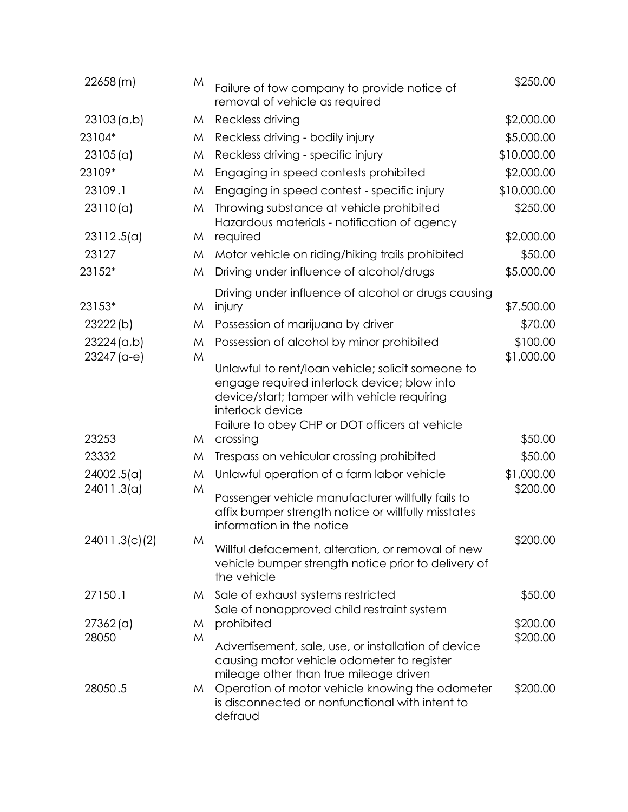| 22658(m)             | M      | Failure of tow company to provide notice of<br>removal of vehicle as required                                                                                                                                         | \$250.00             |
|----------------------|--------|-----------------------------------------------------------------------------------------------------------------------------------------------------------------------------------------------------------------------|----------------------|
| 23103(a,b)           | M      | Reckless driving                                                                                                                                                                                                      | \$2,000.00           |
| 23104*               | M      | Reckless driving - bodily injury                                                                                                                                                                                      | \$5,000.00           |
| 23105(a)             | M      | Reckless driving - specific injury                                                                                                                                                                                    | \$10,000.00          |
| 23109*               | M      | Engaging in speed contests prohibited                                                                                                                                                                                 | \$2,000.00           |
| 23109.1              | M      | Engaging in speed contest - specific injury                                                                                                                                                                           | \$10,000.00          |
| 23110(a)             | M      | Throwing substance at vehicle prohibited<br>Hazardous materials - notification of agency                                                                                                                              | \$250.00             |
| 23112.5(a)           | M      | required                                                                                                                                                                                                              | \$2,000.00           |
| 23127                | M      | Motor vehicle on riding/hiking trails prohibited                                                                                                                                                                      | \$50.00              |
| 23152*               | M      | Driving under influence of alcohol/drugs                                                                                                                                                                              | \$5,000.00           |
| 23153*               | M      | Driving under influence of alcohol or drugs causing<br>injury                                                                                                                                                         | \$7,500.00           |
| 23222(b)             | M      | Possession of marijuana by driver                                                                                                                                                                                     | \$70.00              |
| 23224 (a,b)          | M      | Possession of alcohol by minor prohibited                                                                                                                                                                             | \$100.00             |
| 23247 (a-e)          | M      | Unlawful to rent/loan vehicle; solicit someone to<br>engage required interlock device; blow into<br>device/start; tamper with vehicle requiring<br>interlock device<br>Failure to obey CHP or DOT officers at vehicle | \$1,000.00           |
| 23253                | M      | crossing                                                                                                                                                                                                              | \$50.00              |
| 23332                | M      | Trespass on vehicular crossing prohibited                                                                                                                                                                             | \$50.00              |
| 24002.5(a)           | M      | Unlawful operation of a farm labor vehicle                                                                                                                                                                            | \$1,000.00           |
| 24011.3(a)           | M      | Passenger vehicle manufacturer willfully fails to<br>affix bumper strength notice or willfully misstates<br>information in the notice                                                                                 | \$200.00             |
| 24011.3(c)(2)        | M      | Willful defacement, alteration, or removal of new<br>vehicle bumper strength notice prior to delivery of<br>the vehicle                                                                                               | \$200.00             |
| 27150.1              | M      | Sale of exhaust systems restricted                                                                                                                                                                                    | \$50.00              |
|                      |        | Sale of nonapproved child restraint system                                                                                                                                                                            |                      |
| $27362$ (a)<br>28050 | M<br>M | prohibited                                                                                                                                                                                                            | \$200.00<br>\$200.00 |
|                      |        | Advertisement, sale, use, or installation of device<br>causing motor vehicle odometer to register<br>mileage other than true mileage driven                                                                           |                      |
| 28050.5              | M      | Operation of motor vehicle knowing the odometer<br>is disconnected or nonfunctional with intent to<br>defraud                                                                                                         | \$200.00             |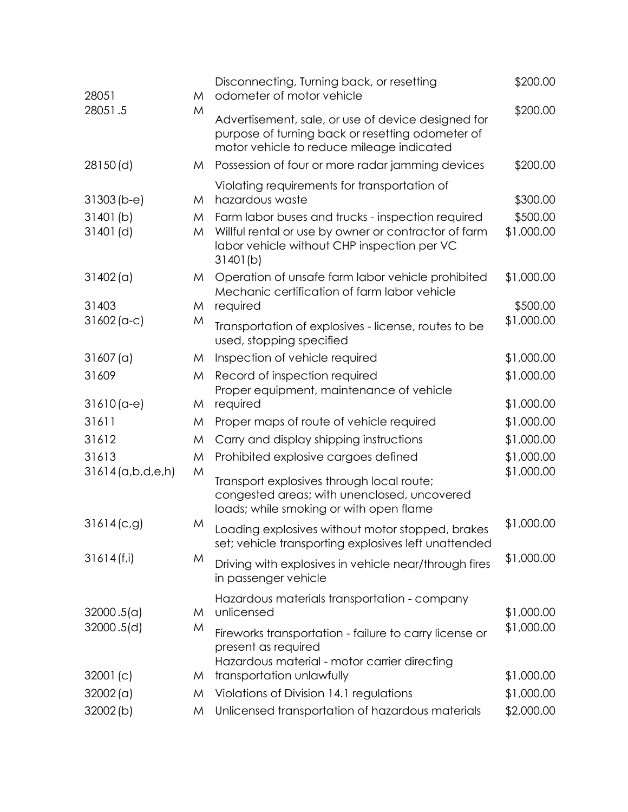| 28051                   | M      | Disconnecting, Turning back, or resetting<br>odometer of motor vehicle                                                                                               | \$200.00               |
|-------------------------|--------|----------------------------------------------------------------------------------------------------------------------------------------------------------------------|------------------------|
| 28051.5                 | M      | Advertisement, sale, or use of device designed for<br>purpose of turning back or resetting odometer of<br>motor vehicle to reduce mileage indicated                  | \$200.00               |
| 28150(d)                | M      | Possession of four or more radar jamming devices                                                                                                                     | \$200.00               |
| $31303(b-e)$            | M      | Violating requirements for transportation of<br>hazardous waste                                                                                                      | \$300.00               |
| 31401(b)<br>$31401$ (d) | M<br>M | Farm labor buses and trucks - inspection required<br>Willful rental or use by owner or contractor of farm<br>labor vehicle without CHP inspection per VC<br>31401(b) | \$500.00<br>\$1,000.00 |
| 31402(a)                | M      | Operation of unsafe farm labor vehicle prohibited<br>Mechanic certification of farm labor vehicle                                                                    | \$1,000.00             |
| 31403                   | M      | required                                                                                                                                                             | \$500.00               |
| $31602$ (a-c)           | M      | Transportation of explosives - license, routes to be<br>used, stopping specified                                                                                     | \$1,000.00             |
| 31607(a)                | M      | Inspection of vehicle required                                                                                                                                       | \$1,000.00             |
| 31609                   | M      | Record of inspection required<br>Proper equipment, maintenance of vehicle                                                                                            | \$1,000.00             |
| $31610(a-e)$            | M      | required                                                                                                                                                             | \$1,000.00             |
| 31611                   | M      | Proper maps of route of vehicle required                                                                                                                             | \$1,000.00             |
| 31612                   | M      | Carry and display shipping instructions                                                                                                                              | \$1,000.00             |
| 31613                   | M      | Prohibited explosive cargoes defined                                                                                                                                 | \$1,000.00             |
| $31614$ (a,b,d,e,h)     | M      | Transport explosives through local route;<br>congested areas; with unenclosed, uncovered<br>loads; while smoking or with open flame                                  | \$1,000.00             |
| 31614(c,g)              | M      | Loading explosives without motor stopped, brakes<br>set; vehicle transporting explosives left unattended                                                             | \$1,000.00             |
| 31614(f,i)              | M      | Driving with explosives in vehicle near/through fires<br>in passenger vehicle                                                                                        | \$1,000.00             |
| 32000.5(a)              | M      | Hazardous materials transportation - company<br>unlicensed                                                                                                           | \$1,000.00             |
| 32000.5(d)              | M      | Fireworks transportation - failure to carry license or<br>present as required<br>Hazardous material - motor carrier directing                                        | \$1,000.00             |
| 32001(c)                | M      | transportation unlawfully                                                                                                                                            | \$1,000.00             |
| 32002(a)                | M      | Violations of Division 14.1 regulations                                                                                                                              | \$1,000.00             |
| 32002(b)                | M      | Unlicensed transportation of hazardous materials                                                                                                                     | \$2,000.00             |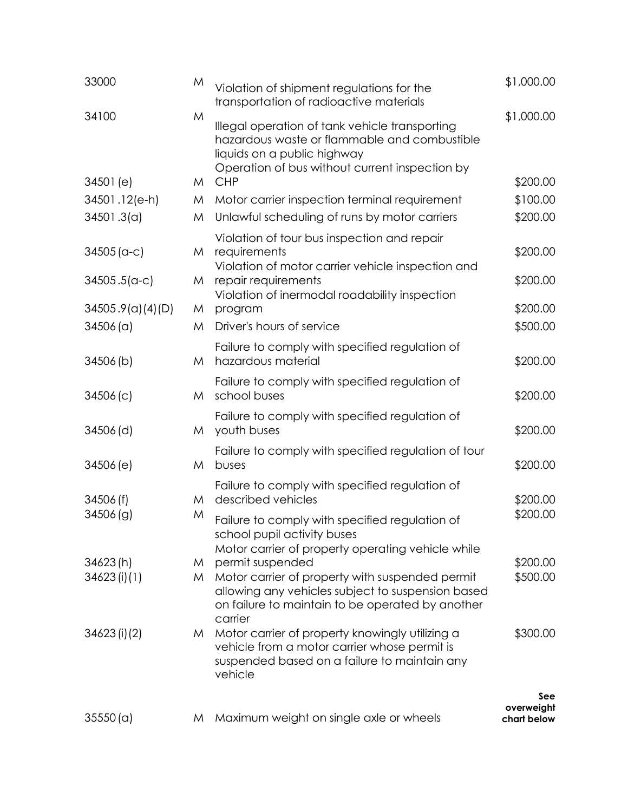| 33000            | M | Violation of shipment regulations for the<br>transportation of radioactive materials                                                                                            | \$1,000.00                       |
|------------------|---|---------------------------------------------------------------------------------------------------------------------------------------------------------------------------------|----------------------------------|
| 34100            | M | Illegal operation of tank vehicle transporting<br>hazardous waste or flammable and combustible<br>liquids on a public highway<br>Operation of bus without current inspection by | \$1,000.00                       |
| 34501 (e)        | M | <b>CHP</b>                                                                                                                                                                      | \$200.00                         |
| 34501.12(e-h)    | M | Motor carrier inspection terminal requirement                                                                                                                                   | \$100.00                         |
| 34501.3(a)       | M | Unlawful scheduling of runs by motor carriers                                                                                                                                   | \$200.00                         |
| $34505 (a-c)$    | M | Violation of tour bus inspection and repair<br>requirements<br>Violation of motor carrier vehicle inspection and                                                                | \$200.00                         |
| $34505.5(a-c)$   | M | repair requirements<br>Violation of inermodal roadability inspection                                                                                                            | \$200.00                         |
| 34505.9(a)(4)(D) | M | program                                                                                                                                                                         | \$200.00                         |
| 34506 (a)        | M | Driver's hours of service                                                                                                                                                       | \$500.00                         |
| 34506(b)         | M | Failure to comply with specified regulation of<br>hazardous material                                                                                                            | \$200.00                         |
| 34506(c)         | M | Failure to comply with specified regulation of<br>school buses                                                                                                                  | \$200.00                         |
| 34506(d)         | M | Failure to comply with specified regulation of<br>youth buses                                                                                                                   | \$200.00                         |
| 34506(e)         | M | Failure to comply with specified regulation of tour<br>buses                                                                                                                    | \$200.00                         |
| 34506(f)         | M | Failure to comply with specified regulation of<br>described vehicles                                                                                                            | \$200.00                         |
| 34506(g)         | M | Failure to comply with specified regulation of<br>school pupil activity buses                                                                                                   | \$200.00                         |
| 34623(h)         | M | Motor carrier of property operating vehicle while<br>permit suspended                                                                                                           | \$200.00                         |
| 34623(i)(1)      | M | Motor carrier of property with suspended permit<br>allowing any vehicles subject to suspension based<br>on failure to maintain to be operated by another<br>carrier             | \$500.00                         |
| 34623 (i) (2)    | M | Motor carrier of property knowingly utilizing a<br>vehicle from a motor carrier whose permit is<br>suspended based on a failure to maintain any<br>vehicle                      | \$300.00                         |
| 35550(a)         | M | Maximum weight on single axle or wheels                                                                                                                                         | See<br>overweight<br>chart below |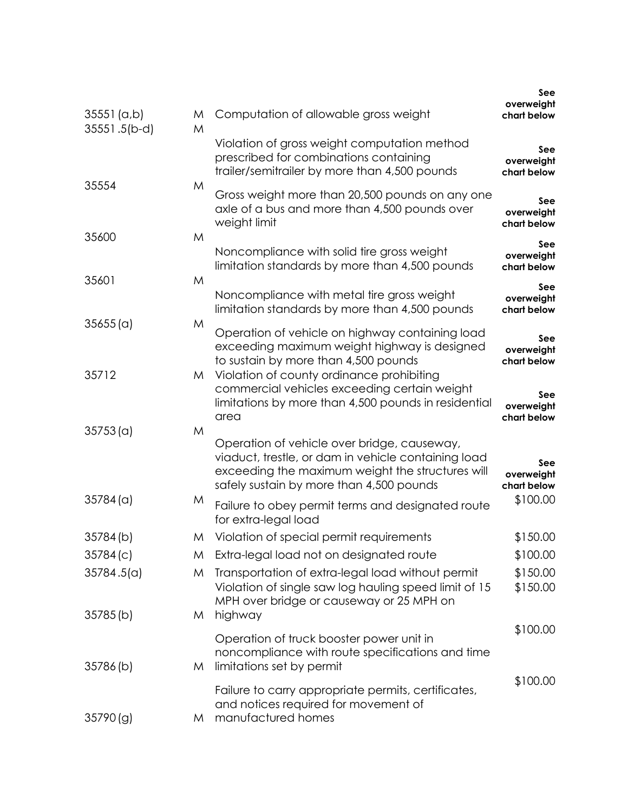|                             |        |                                                                                                                                                                                                    | See<br>overweight                |
|-----------------------------|--------|----------------------------------------------------------------------------------------------------------------------------------------------------------------------------------------------------|----------------------------------|
| 35551 (a,b)<br>35551.5(b-d) | M<br>M | Computation of allowable gross weight                                                                                                                                                              | chart below                      |
|                             |        | Violation of gross weight computation method<br>prescribed for combinations containing<br>trailer/semitrailer by more than 4,500 pounds                                                            | See<br>overweight<br>chart below |
| 35554                       | M      | Gross weight more than 20,500 pounds on any one<br>axle of a bus and more than 4,500 pounds over<br>weight limit                                                                                   | See<br>overweight<br>chart below |
| 35600                       | M      | Noncompliance with solid tire gross weight<br>limitation standards by more than 4,500 pounds                                                                                                       | See<br>overweight<br>chart below |
| 35601                       | M      |                                                                                                                                                                                                    | See                              |
|                             |        | Noncompliance with metal tire gross weight<br>limitation standards by more than 4,500 pounds                                                                                                       | overweight<br>chart below        |
| 35655(a)                    | M      | Operation of vehicle on highway containing load<br>exceeding maximum weight highway is designed<br>to sustain by more than 4,500 pounds                                                            | See<br>overweight<br>chart below |
| 35712                       | M      | Violation of county ordinance prohibiting<br>commercial vehicles exceeding certain weight<br>limitations by more than 4,500 pounds in residential<br>area                                          | See<br>overweight<br>chart below |
| 35753(a)                    | M      | Operation of vehicle over bridge, causeway,<br>viaduct, trestle, or dam in vehicle containing load<br>exceeding the maximum weight the structures will<br>safely sustain by more than 4,500 pounds | See<br>overweight<br>chart below |
| 35784(a)                    | M      | Failure to obey permit terms and designated route<br>for extra-legal load                                                                                                                          | \$100.00                         |
| 35784(b)                    | M      | Violation of special permit requirements                                                                                                                                                           | \$150.00                         |
| 35784(c)                    | M      | Extra-legal load not on designated route                                                                                                                                                           | \$100.00                         |
| 35784.5(a)                  | M      | Transportation of extra-legal load without permit<br>Violation of single saw log hauling speed limit of 15<br>MPH over bridge or causeway or 25 MPH on                                             | \$150.00<br>\$150.00             |
| 35785(b)                    | M      | highway                                                                                                                                                                                            | \$100.00                         |
| 35786(b)                    | M      | Operation of truck booster power unit in<br>noncompliance with route specifications and time<br>limitations set by permit                                                                          |                                  |
| 35790(g)                    | M      | Failure to carry appropriate permits, certificates,<br>and notices required for movement of<br>manufactured homes                                                                                  | \$100.00                         |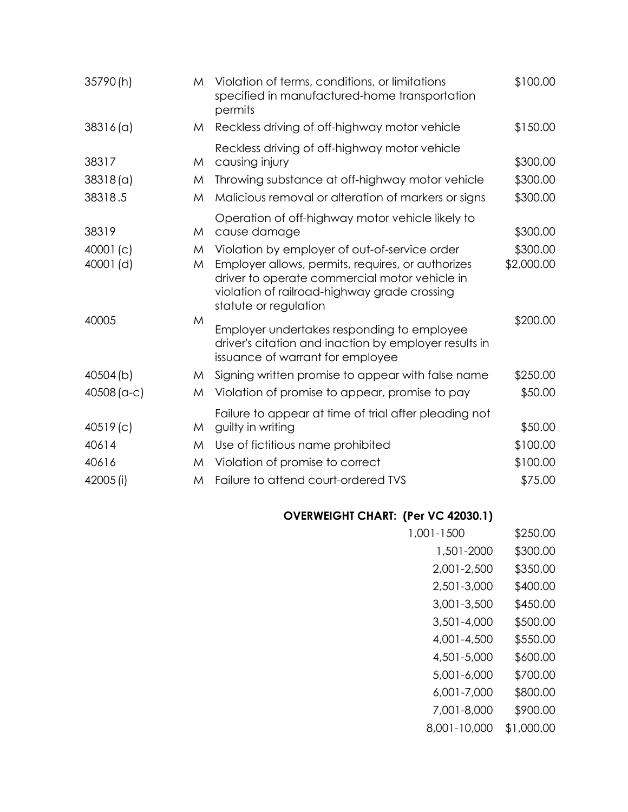| 35790(h)      | M | Violation of terms, conditions, or limitations<br>specified in manufactured-home transportation<br>permits                                                                  | \$100.00   |
|---------------|---|-----------------------------------------------------------------------------------------------------------------------------------------------------------------------------|------------|
| 38316(a)      | M | Reckless driving of off-highway motor vehicle                                                                                                                               | \$150.00   |
| 38317         | M | Reckless driving of off-highway motor vehicle<br>causing injury                                                                                                             | \$300.00   |
| 38318(a)      | M | Throwing substance at off-highway motor vehicle                                                                                                                             | \$300.00   |
| 38318.5       | M | Malicious removal or alteration of markers or signs                                                                                                                         | \$300.00   |
| 38319         | M | Operation of off-highway motor vehicle likely to<br>cause damage                                                                                                            | \$300.00   |
| 40001(c)      | M | Violation by employer of out-of-service order                                                                                                                               | \$300.00   |
| $40001$ (d)   | M | Employer allows, permits, requires, or authorizes<br>driver to operate commercial motor vehicle in<br>violation of railroad-highway grade crossing<br>statute or regulation | \$2,000.00 |
| 40005         | M | Employer undertakes responding to employee<br>driver's citation and inaction by employer results in<br>issuance of warrant for employee                                     | \$200.00   |
| 40504(b)      | M | Signing written promise to appear with false name                                                                                                                           | \$250.00   |
| $40508$ (a-c) | M | Violation of promise to appear, promise to pay                                                                                                                              | \$50.00    |
| 40519(c)      | M | Failure to appear at time of trial after pleading not<br>guilty in writing                                                                                                  | \$50.00    |
| 40614         | M | Use of fictitious name prohibited                                                                                                                                           | \$100.00   |
| 40616         | M | Violation of promise to correct                                                                                                                                             | \$100.00   |
| 42005 (i)     | M | Failure to attend court-ordered TVS                                                                                                                                         | \$75.00    |

## **OVERWEIGHT CHART: (Per VC 42030.1)**

| 1,001-1500   | \$250.00   |
|--------------|------------|
| 1,501-2000   | \$300.00   |
| 2,001-2,500  | \$350.00   |
| 2,501-3,000  | \$400.00   |
| 3,001-3,500  | \$450.00   |
| 3,501-4,000  | \$500.00   |
| 4,001-4,500  | \$550.00   |
| 4,501-5,000  | \$600.00   |
| 5,001-6,000  | \$700.00   |
| 6,001-7,000  | \$800.00   |
| 7,001-8,000  | \$900.00   |
| 8,001-10,000 | \$1,000.00 |